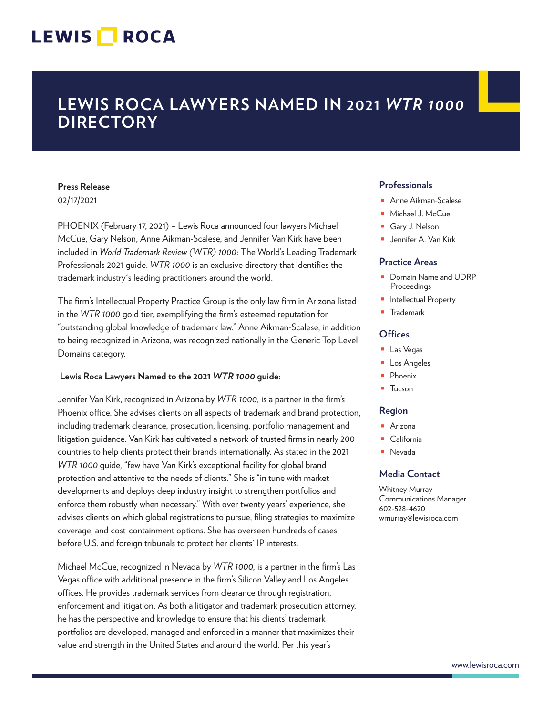# LEWIS **NOCA**

# **LEWIS ROCA LAWYERS NAMED IN 2021** *WTR 1000* **DIRECTORY**

#### **Press Release** 02/17/2021

PHOENIX (February 17, 2021) – Lewis Roca announced four lawyers Michael McCue, Gary Nelson, Anne Aikman-Scalese, and Jennifer Van Kirk have been included in *World Trademark Review (WTR) 1000*: The World's Leading Trademark Professionals 2021 guide. *WTR 1000* is an exclusive directory that identifies the trademark industry's leading practitioners around the world.

The firm's Intellectual Property Practice Group is the only law firm in Arizona listed in the *WTR 1000* gold tier, exemplifying the firm's esteemed reputation for "outstanding global knowledge of trademark law." Anne Aikman-Scalese, in addition to being recognized in Arizona, was recognized nationally in the Generic Top Level Domains category.

### **Lewis Roca Lawyers Named to the 2021** *WTR 1000* **guide:**

Jennifer Van Kirk, recognized in Arizona by *WTR 1000,* is a partner in the firm's Phoenix office. She advises clients on all aspects of trademark and brand protection, including trademark clearance, prosecution, licensing, portfolio management and litigation guidance. Van Kirk has cultivated a network of trusted firms in nearly 200 countries to help clients protect their brands internationally. As stated in the 2021 *WTR 1000* guide*,* "few have Van Kirk's exceptional facility for global brand protection and attentive to the needs of clients." She is "in tune with market developments and deploys deep industry insight to strengthen portfolios and enforce them robustly when necessary." With over twenty years' experience, she advises clients on which global registrations to pursue, filing strategies to maximize coverage, and cost-containment options. She has overseen hundreds of cases before U.S. and foreign tribunals to protect her clients' IP interests.

Michael McCue, recognized in Nevada by *WTR 1000,* is a partner in the firm's Las Vegas office with additional presence in the firm's Silicon Valley and Los Angeles offices. He provides trademark services from clearance through registration, enforcement and litigation. As both a litigator and trademark prosecution attorney, he has the perspective and knowledge to ensure that his clients' trademark portfolios are developed, managed and enforced in a manner that maximizes their value and strength in the United States and around the world. Per this year's

## **Professionals**

- Anne Aikman-Scalese
- Michael J. McCue
- Gary J. Nelson
- Jennifer A. Van Kirk

#### **Practice Areas**

- Domain Name and UDRP Proceedings
- Intellectual Property
- **Trademark**

### **Offices**

- Las Vegas
- Los Angeles
- Phoenix
- Tucson

#### **Region**

- Arizona
- California
- Nevada

### **Media Contact**

Whitney Murray Communications Manager 602-528-4620 wmurray@lewisroca.com